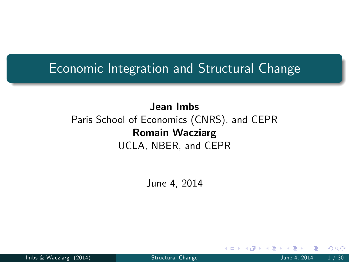#### Economic Integration and Structural Change

#### Jean Imbs Paris School of Economics (CNRS), and CEPR Romain Wacziarg UCLA, NBER, and CEPR

June 4, 2014

<span id="page-0-0"></span>

Imbs & Wacziarg (2014) [Structural Change](#page-28-0) Change June 4, 2014 1/30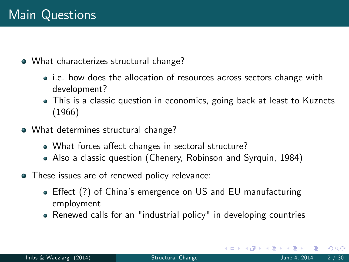What characterizes structural change?

- i.e. how does the allocation of resources across sectors change with development?
- This is a classic question in economics, going back at least to Kuznets (1966)
- What determines structural change?
	- What forces affect changes in sectoral structure?
	- Also a classic question (Chenery, Robinson and Syrquin, 1984)
- These issues are of renewed policy relevance:
	- Effect (?) of China's emergence on US and EU manufacturing employment
	- Renewed calls for an "industrial policy" in developing countries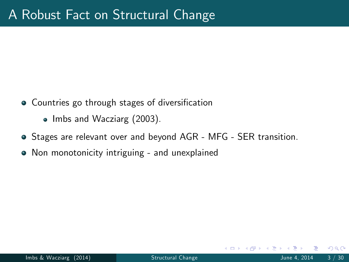- Countries go through stages of diversification
	- Imbs and Wacziarg (2003).
- Stages are relevant over and beyond AGR MFG SER transition.
- Non monotonicity intriguing and unexplained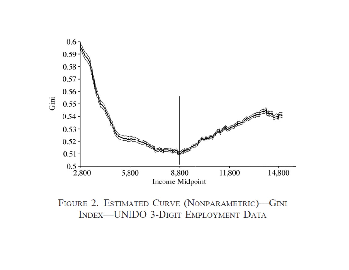

FIGURE 2. ESTIMATED CURVE (NONPARAMETRIC)-GINI **INDEX-UNIDO 3-DIGIT EMPLOYMENT DATA**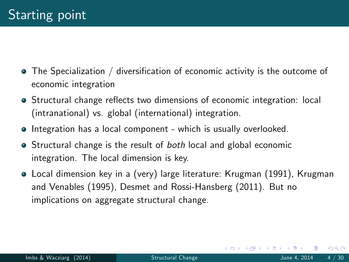- $\bullet$  The Specialization / diversification of economic activity is the outcome of economic integration
- Structural change reflects two dimensions of economic integration: local (intranational) vs. global (international) integration.
- **•** Integration has a local component which is usually overlooked.
- Structural change is the result of both local and global economic integration. The local dimension is key.
- Local dimension key in a (very) large literature: Krugman (1991), Krugman and Venables (1995), Desmet and Rossi-Hansberg (2011). But no implications on aggregate structural change.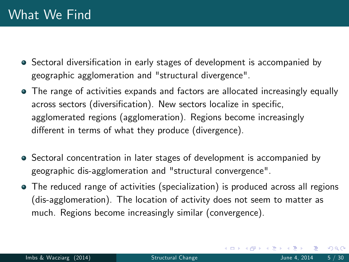- Sectoral diversification in early stages of development is accompanied by geographic agglomeration and "structural divergence".
- The range of activities expands and factors are allocated increasingly equally across sectors (diversification). New sectors localize in specific, agglomerated regions (agglomeration). Regions become increasingly different in terms of what they produce (divergence).
- Sectoral concentration in later stages of development is accompanied by geographic dis-agglomeration and "structural convergence".
- The reduced range of activities (specialization) is produced across all regions (dis-agglomeration). The location of activity does not seem to matter as much. Regions become increasingly similar (convergence).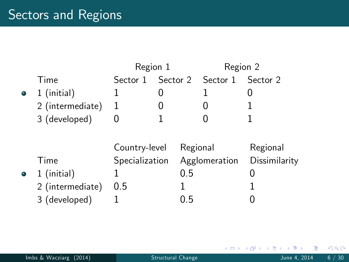# Sectors and Regions

|   |                  | Region 1       |          |          | Region 2      |               |
|---|------------------|----------------|----------|----------|---------------|---------------|
|   | Time             | Sector 1       | Sector 2 |          | Sector 1      | Sector 2      |
| ۰ | 1 (initial)      | 1              | O        |          |               |               |
|   | 2 (intermediate) | 1              | O        |          |               |               |
|   | 3 (developed)    | 0              |          |          |               |               |
|   |                  |                |          |          |               |               |
|   |                  | Country-level  |          | Regional |               | Regional      |
|   | Time             | Specialization |          |          | Agglomeration | Dissimilarity |
| ۰ | 1 (initial)      |                |          | 0.5      |               |               |
|   | 2 (intermediate) | 0.5            |          |          |               |               |
|   | 3 (developed)    |                |          | 0.5      |               |               |

. p

 $299$ 

イロト イ部 トイモト イ毛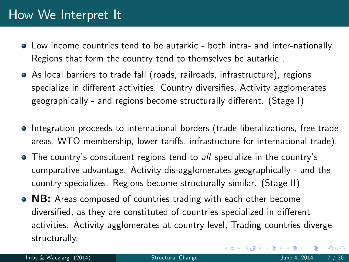### How We Interpret It

- Low income countries tend to be autarkic both intra- and inter-nationally. Regions that form the country tend to themselves be autarkic .
- As local barriers to trade fall (roads, railroads, infrastructure), regions specialize in different activities. Country diversifies, Activity agglomerates geographically - and regions become structurally different. (Stage I)
- Integration proceeds to international borders (trade liberalizations, free trade areas, WTO membership, lower tariffs, infrastucture for international trade).
- The country's constituent regions tend to all specialize in the country's comparative advantage. Activity dis-agglomerates geographically - and the country specializes. Regions become structurally similar. (Stage II)
- NB: Areas composed of countries trading with each other become diversified, as they are constituted of countries specialized in different activities. Activity agglomerates at country level, Trading countries diverge structurally.

 $QQ$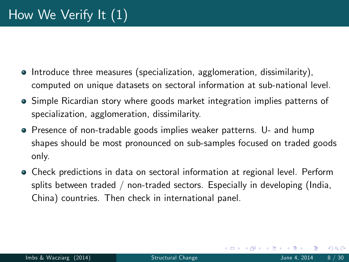- $\bullet$  Introduce three measures (specialization, agglomeration, dissimilarity), computed on unique datasets on sectoral information at sub-national level.
- **•** Simple Ricardian story where goods market integration implies patterns of specialization, agglomeration, dissimilarity.
- **•** Presence of non-tradable goods implies weaker patterns. U- and hump shapes should be most pronounced on sub-samples focused on traded goods only.
- Check predictions in data on sectoral information at regional level. Perform splits between traded / non-traded sectors. Especially in developing (India, China) countries. Then check in international panel.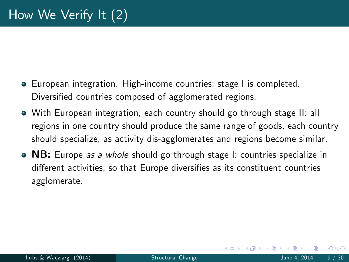- European integration. High-income countries: stage I is completed. Diversified countries composed of agglomerated regions.
- With European integration, each country should go through stage II: all regions in one country should produce the same range of goods, each country should specialize, as activity dis-agglomerates and regions become similar.
- NB: Europe *as a whole* should go through stage I: countries specialize in different activities, so that Europe diversifies as its constituent countries agglomerate.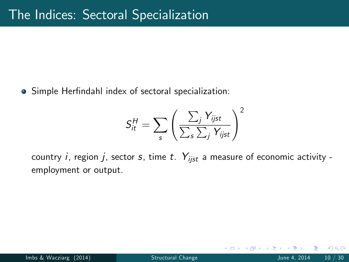• Simple Herfindahl index of sectoral specialization:

$$
S_{it}^{H} = \sum_{s} \left( \frac{\sum_{j} Y_{ijst}}{\sum_{s} \sum_{j} Y_{ijst}} \right)^{2}
$$

country i, region j, sector s, time t.  $Y_{i,jst}$  a measure of economic activity employment or output.

つひひ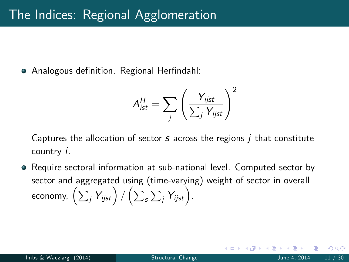• Analogous definition. Regional Herfindahl:

$$
A_{ist}^{H} = \sum_{j} \left(\frac{Y_{ijst}}{\sum_{j} Y_{ijst}}\right)^2
$$

Captures the allocation of sector  $s$  across the regions  $\overline{I}$  that constitute country i.

• Require sectoral information at sub-national level. Computed sector by sector and aggregated using (time-varying) weight of sector in overall economy,  $\left(\sum_j Y_{ijst}\right)/\left(\sum_s\sum_j Y_{ijst}\right)$  .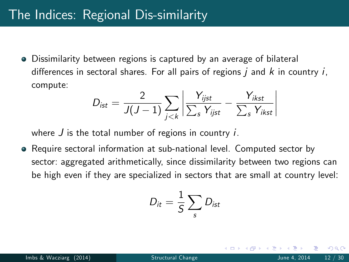### The Indices: Regional Dis-similarity

Dissimilarity between regions is captured by an average of bilateral differences in sectoral shares. For all pairs of regions  $j$  and  $k$  in country  $i$ , compute:

$$
D_{ist} = \frac{2}{J(J-1)} \sum_{j < k} \left| \frac{Y_{ijst}}{\sum_{s} Y_{ijst}} - \frac{Y_{ikst}}{\sum_{s} Y_{ikst}} \right|
$$

where  $J$  is the total number of regions in country  $i$ .

Require sectoral information at sub-national level. Computed sector by sector: aggregated arithmetically, since dissimilarity between two regions can be high even if they are specialized in sectors that are small at country level:

$$
D_{it}=\frac{1}{S}\sum_{s}D_{ist}
$$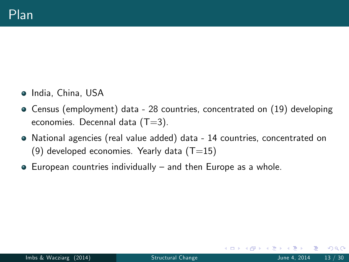- India, China, USA
- Census (employment) data 28 countries, concentrated on (19) developing economies. Decennal data  $(T=3)$ .
- National agencies (real value added) data 14 countries, concentrated on (9) developed economies. Yearly data  $(T=15)$
- $\bullet$  European countries individually  $\bullet$  and then Europe as a whole.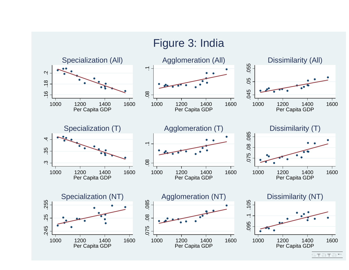

STaTa™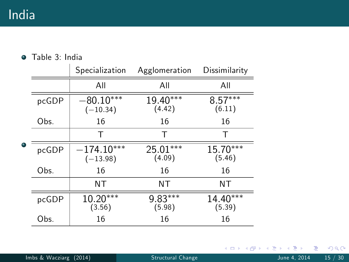Table 3: India

|  |       | Specialization             | Agglomeration        | Dissimilarity        |
|--|-------|----------------------------|----------------------|----------------------|
|  |       | All                        | All                  | All                  |
|  | pcGDP | $-80.10***$<br>$(-10.34)$  | 19.40***<br>(4.42)   | $8.57***$<br>(6.11)  |
|  | Obs.  | 16                         | 16                   | 16                   |
|  |       | Т                          | Т                    | Т                    |
|  | pcGDP | $-174.10***$<br>$(-13.98)$ | $25.01***$<br>(4.09) | 15.70***<br>(5.46)   |
|  | Obs.  | 16                         | 16                   | 16                   |
|  |       | ΝT                         | <b>NT</b>            | ΝT                   |
|  | pcGDP | 10.20***<br>(3.56)         | 9.83***<br>(5.98)    | $14.40***$<br>(5.39) |
|  | Obs.  | 16                         | 16                   | 16                   |

Þ J.  $-4$ 

 $2990$ 

**K ロ ト K 倒 ト K 走 ト**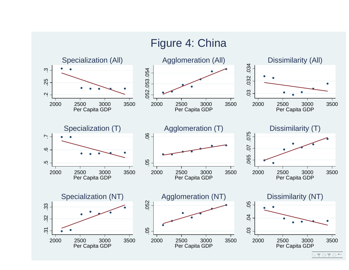

STaTa™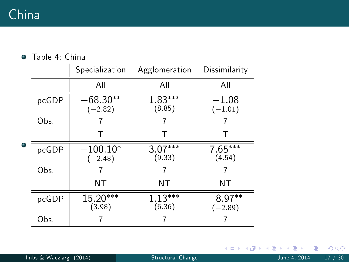Table 4: China

|  |       | Specialization          | Agglomeration       | Dissimilarity          |
|--|-------|-------------------------|---------------------|------------------------|
|  |       | All                     | All                 | All                    |
|  | pcGDP | $-68.30**$<br>$(-2.82)$ | $1.83***$<br>(8.85) | $-1.08$<br>$(-1.01)$   |
|  | Obs.  |                         |                     |                        |
|  |       | т                       | Т                   | т                      |
|  | pcGDP | $-100.10*$<br>$(-2.48)$ | $3.07***$<br>(9.33) | $7.65***$<br>(4.54)    |
|  | Obs.  |                         |                     |                        |
|  |       | ΝT                      | ΝT                  | ΝT                     |
|  | pcGDP | 15.20***<br>(3.98)      | $1.13***$<br>(6.36) | $-8.97**$<br>$(-2.89)$ |
|  | Obs.  |                         |                     |                        |

Þ ×  $299$ 

メロトス部 トメミトメ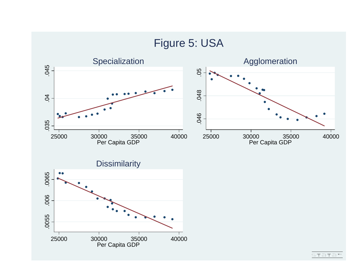

<u>stata™</u>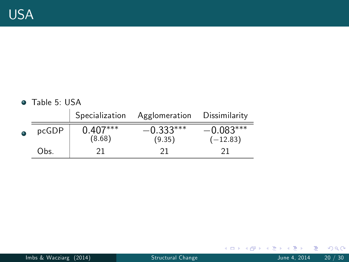#### Table 5: USA

|   |       | Specialization       | Agglomeration         | Dissimilarity             |
|---|-------|----------------------|-----------------------|---------------------------|
| c | pcGDP | $0.407***$<br>(8.68) | $-0.333***$<br>(9.35) | $-0.083***$<br>$(-12.83)$ |
|   | Obs.  | 21                   | 21                    |                           |

þ.

 $2990$ 

メロメ メタメメ きょくき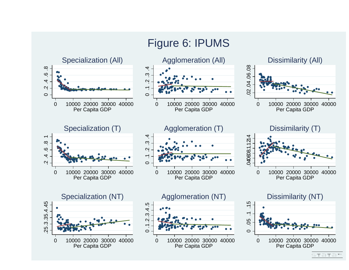

#### STa⊤a™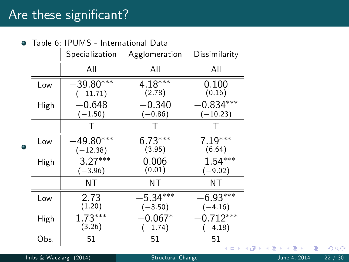## Are these significant?

| $\bullet$ | Table 6: IPUMS - International Data |                           |                         |                           |  |
|-----------|-------------------------------------|---------------------------|-------------------------|---------------------------|--|
|           |                                     | Specialization            | Agglomeration           | Dissimilarity             |  |
|           |                                     | All                       | All                     | All                       |  |
|           | Low                                 | $-39.80***$<br>$(-11.71)$ | $4.18***$<br>(2.78)     | 0.100<br>(0.16)           |  |
|           | High                                | $-0.648$<br>$(-1.50)$     | $-0.340$<br>$(-0.86)$   | $-0.834***$<br>$(-10.23)$ |  |
| 0         |                                     |                           | Т                       |                           |  |
|           | Low                                 | $-49.80***$<br>$(-12.38)$ | $6.73***$<br>(3.95)     | $7.19***$<br>(6.64)       |  |
|           | High                                | $-3.27***$<br>$(-3.96)$   | 0.006<br>(0.01)         | $-1.54***$<br>$(-9.02)$   |  |
|           |                                     | NΤ                        | NT                      | NΤ                        |  |
|           | Low                                 | 2.73<br>(1.20)            | $-5.34***$<br>$(-3.50)$ | $-6.93***$<br>$(-4.16)$   |  |
|           | High                                | $1.73***$<br>(3.26)       | $-0.067*$<br>$(-1.74)$  | $-0.712***$<br>$(-4.18)$  |  |
|           | Obs.                                | 51                        | 51                      | 51                        |  |

- ← ロ ▶ → 伊

 $\sim$ ×. э  $\sim$  $\mathcal{A}$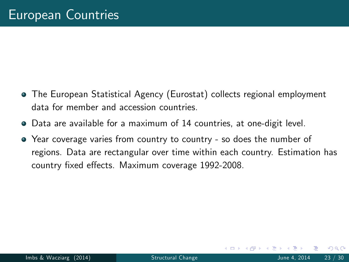- The European Statistical Agency (Eurostat) collects regional employment data for member and accession countries.
- Data are available for a maximum of 14 countries, at one-digit level.
- Year coverage varies from country to country so does the number of regions. Data are rectangular over time within each country. Estimation has country fixed effects. Maximum coverage 1992-2008.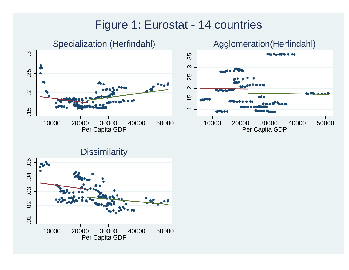# Figure 1: Eurostat - 14 countries





**Dissimilarity** .05 .01 .02 .03 .04 .05  $3.3$  $\overline{6}$ .03  $.02$  $\overline{O}$ 10000 20000 30000 40000 50000 Per Capita GDP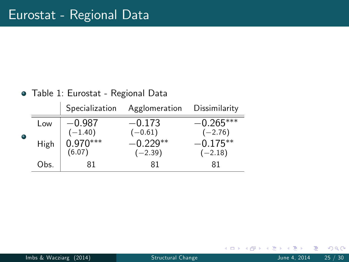#### Table 1: Eurostat - Regional Data

|   |      | Specialization        | Agglomeration           | Dissimilarity            |
|---|------|-----------------------|-------------------------|--------------------------|
| ۰ | Low  | $-0.987$<br>$(-1.40)$ | $-0.173$<br>$(-0.61)$   | $-0.265***$<br>$(-2.76)$ |
|   | High | $0.970***$<br>(6.07)  | $-0.229**$<br>$(-2.39)$ | $-0.175**$<br>$(-2.18)$  |
|   | Obs. | 81                    | 81                      | 81                       |

4 0 3 4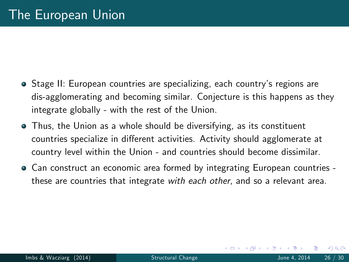- **Stage II: European countries are specializing, each country's regions are** dis-agglomerating and becoming similar. Conjecture is this happens as they integrate globally - with the rest of the Union.
- Thus, the Union as a whole should be diversifying, as its constituent countries specialize in different activities. Activity should agglomerate at country level within the Union - and countries should become dissimilar.
- **•** Can construct an economic area formed by integrating European countries these are countries that integrate with each other, and so a relevant area.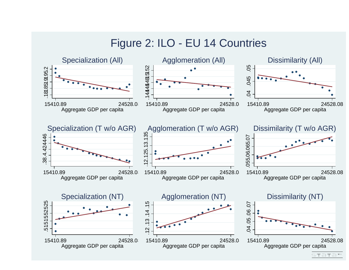# Figure 2: ILO - EU 14 Countries



stata™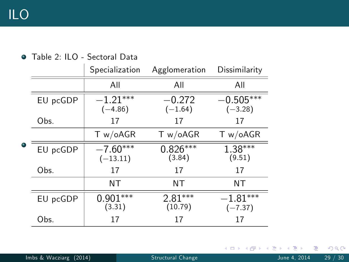|  |          | Specialization           | Agglomeration         | Dissimilarity            |
|--|----------|--------------------------|-----------------------|--------------------------|
|  |          | All                      | All                   | All                      |
|  | EU pcGDP | $-1.21***$<br>$(-4.86)$  | $-0.272$<br>$(-1.64)$ | $-0.505***$<br>$(-3.28)$ |
|  | Obs.     | 17                       | 17                    | 17                       |
|  |          | T w / oAGR               | T w / oAGR            | T w / oAGR               |
|  | EU pcGDP | $-7.60***$<br>$(-13.11)$ | $0.826***$<br>(3.84)  | $1.38***$<br>(9.51)      |
|  | Obs.     | 17                       | 17                    | 17                       |
|  |          | ΝT                       | ΝT                    | ΝT                       |
|  | EU pcGDP | $0.901***$<br>(3.31)     | $2.81***$<br>(10.79)  | $-1.81***$<br>$(-7.37)$  |
|  | Obs.     | 17                       | 17                    | 17                       |

#### Table 2: ILO - Sectoral Data

Imbs & Wacziarg (2014) [Structural Change](#page-0-0) June 4, 2014 29 / 30

Þ

メロメ メ母メ メミメメ

重